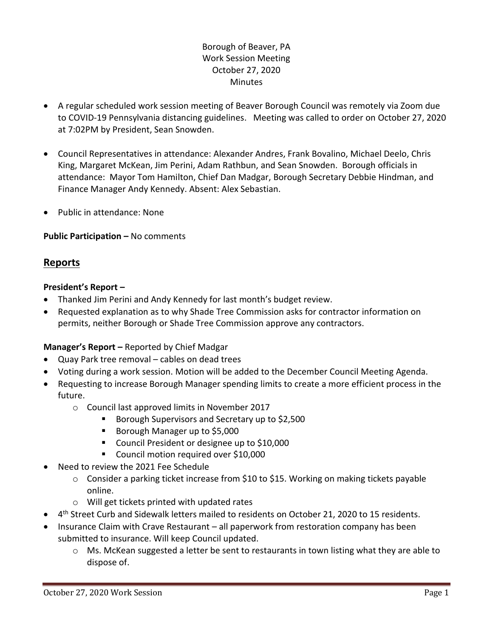# Borough of Beaver, PA Work Session Meeting October 27, 2020 **Minutes**

- A regular scheduled work session meeting of Beaver Borough Council was remotely via Zoom due to COVID-19 Pennsylvania distancing guidelines. Meeting was called to order on October 27, 2020 at 7:02PM by President, Sean Snowden.
- Council Representatives in attendance: Alexander Andres, Frank Bovalino, Michael Deelo, Chris King, Margaret McKean, Jim Perini, Adam Rathbun, and Sean Snowden. Borough officials in attendance: Mayor Tom Hamilton, Chief Dan Madgar, Borough Secretary Debbie Hindman, and Finance Manager Andy Kennedy. Absent: Alex Sebastian.
- Public in attendance: None

# **Public Participation –** No comments

# **Reports**

### **President's Report –**

- Thanked Jim Perini and Andy Kennedy for last month's budget review.
- Requested explanation as to why Shade Tree Commission asks for contractor information on permits, neither Borough or Shade Tree Commission approve any contractors.

### **Manager's Report –** Reported by Chief Madgar

- Quay Park tree removal cables on dead trees
- Voting during a work session. Motion will be added to the December Council Meeting Agenda.
- Requesting to increase Borough Manager spending limits to create a more efficient process in the future.
	- o Council last approved limits in November 2017
		- Borough Supervisors and Secretary up to \$2,500
		- Borough Manager up to \$5,000
		- Council President or designee up to \$10,000
		- Council motion required over \$10,000
- Need to review the 2021 Fee Schedule
	- $\circ$  Consider a parking ticket increase from \$10 to \$15. Working on making tickets payable online.
	- o Will get tickets printed with updated rates
- 4<sup>th</sup> Street Curb and Sidewalk letters mailed to residents on October 21, 2020 to 15 residents.
- Insurance Claim with Crave Restaurant all paperwork from restoration company has been submitted to insurance. Will keep Council updated.
	- o Ms. McKean suggested a letter be sent to restaurants in town listing what they are able to dispose of.